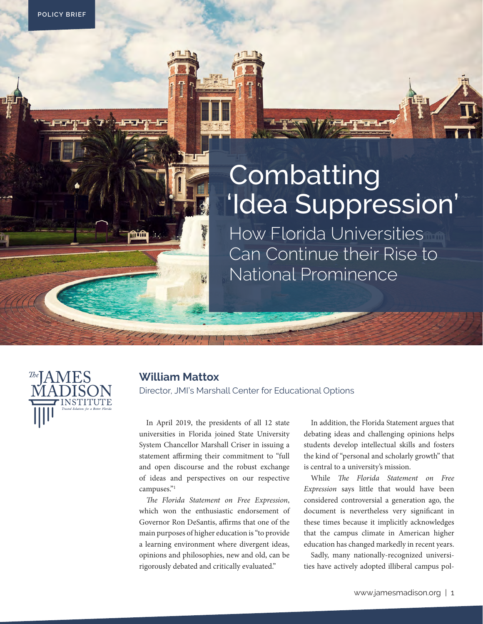# Combatting 'Idea Suppression'

How Florida Universities Can Continue their Rise to National Prominence



### **William Mattox**

į,

Director, JMI's Marshall Center for Educational Options

In April 2019, the presidents of all 12 state universities in Florida joined State University System Chancellor Marshall Criser in issuing a statement affirming their commitment to "full and open discourse and the robust exchange of ideas and perspectives on our respective campuses."1

*The Florida Statement on Free Expression*, which won the enthusiastic endorsement of Governor Ron DeSantis, affirms that one of the main purposes of higher education is "to provide a learning environment where divergent ideas, opinions and philosophies, new and old, can be rigorously debated and critically evaluated."

In addition, the Florida Statement argues that debating ideas and challenging opinions helps students develop intellectual skills and fosters the kind of "personal and scholarly growth" that is central to a university's mission.

While *The Florida Statement on Free Expression* says little that would have been considered controversial a generation ago, the document is nevertheless very significant in these times because it implicitly acknowledges that the campus climate in American higher education has changed markedly in recent years.

Sadly, many nationally-recognized universities have actively adopted illiberal campus pol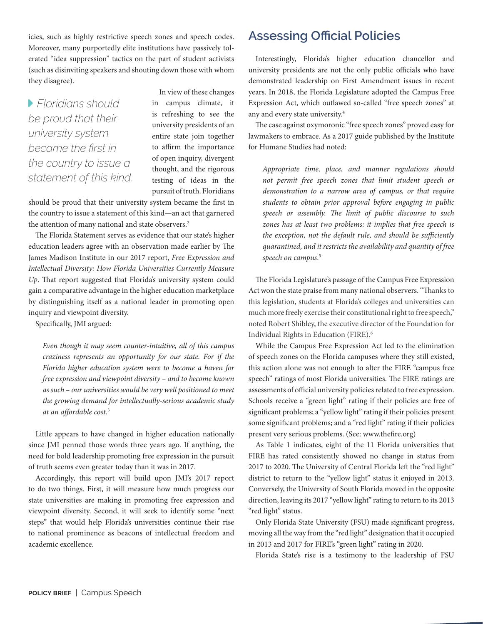icies, such as highly restrictive speech zones and speech codes. Moreover, many purportedly elite institutions have passively tolerated "idea suppression" tactics on the part of student activists (such as disinviting speakers and shouting down those with whom they disagree).

 *Floridians should be proud that their university system became the first in the country to issue a statement of this kind.*

In view of these changes in campus climate, it is refreshing to see the university presidents of an entire state join together to affirm the importance of open inquiry, divergent thought, and the rigorous testing of ideas in the pursuit of truth. Floridians

should be proud that their university system became the first in the country to issue a statement of this kind—an act that garnered the attention of many national and state observers.<sup>2</sup>

The Florida Statement serves as evidence that our state's higher education leaders agree with an observation made earlier by The James Madison Institute in our 2017 report, *Free Expression and Intellectual Diversity: How Florida Universities Currently Measure Up*. That report suggested that Florida's university system could gain a comparative advantage in the higher education marketplace by distinguishing itself as a national leader in promoting open inquiry and viewpoint diversity.

Specifically, JMI argued:

*Even though it may seem counter-intuitive, all of this campus craziness represents an opportunity for our state. For if the Florida higher education system were to become a haven for free expression and viewpoint diversity – and to become known as such – our universities would be very well positioned to meet the growing demand for intellectually-serious academic study at an affordable cost.*<sup>3</sup>

Little appears to have changed in higher education nationally since JMI penned those words three years ago. If anything, the need for bold leadership promoting free expression in the pursuit of truth seems even greater today than it was in 2017.

Accordingly, this report will build upon JMI's 2017 report to do two things. First, it will measure how much progress our state universities are making in promoting free expression and viewpoint diversity. Second, it will seek to identify some "next steps" that would help Florida's universities continue their rise to national prominence as beacons of intellectual freedom and academic excellence.

### **Assessing Official Policies**

Interestingly, Florida's higher education chancellor and university presidents are not the only public officials who have demonstrated leadership on First Amendment issues in recent years. In 2018, the Florida Legislature adopted the Campus Free Expression Act, which outlawed so-called "free speech zones" at any and every state university.4

The case against oxymoronic "free speech zones" proved easy for lawmakers to embrace. As a 2017 guide published by the Institute for Humane Studies had noted:

*Appropriate time, place, and manner regulations should not permit free speech zones that limit student speech or demonstration to a narrow area of campus, or that require students to obtain prior approval before engaging in public speech or assembly. The limit of public discourse to such zones has at least two problems: it implies that free speech is the exception, not the default rule, and should be sufficiently quarantined, and it restricts the availability and quantity of free speech on campus*. 5

The Florida Legislature's passage of the Campus Free Expression Act won the state praise from many national observers. "Thanks to this legislation, students at Florida's colleges and universities can much more freely exercise their constitutional right to free speech," noted Robert Shibley, the executive director of the Foundation for Individual Rights in Education (FIRE).6

While the Campus Free Expression Act led to the elimination of speech zones on the Florida campuses where they still existed, this action alone was not enough to alter the FIRE "campus free speech" ratings of most Florida universities. The FIRE ratings are assessments of official university policies related to free expression. Schools receive a "green light" rating if their policies are free of significant problems; a "yellow light" rating if their policies present some significant problems; and a "red light" rating if their policies present very serious problems. (See: www.thefire.org)

As Table 1 indicates, eight of the 11 Florida universities that FIRE has rated consistently showed no change in status from 2017 to 2020. The University of Central Florida left the "red light" district to return to the "yellow light" status it enjoyed in 2013. Conversely, the University of South Florida moved in the opposite direction, leaving its 2017 "yellow light" rating to return to its 2013 "red light" status.

Only Florida State University (FSU) made significant progress, moving all the way from the "red light" designation that it occupied in 2013 and 2017 for FIRE's "green light" rating in 2020.

Florida State's rise is a testimony to the leadership of FSU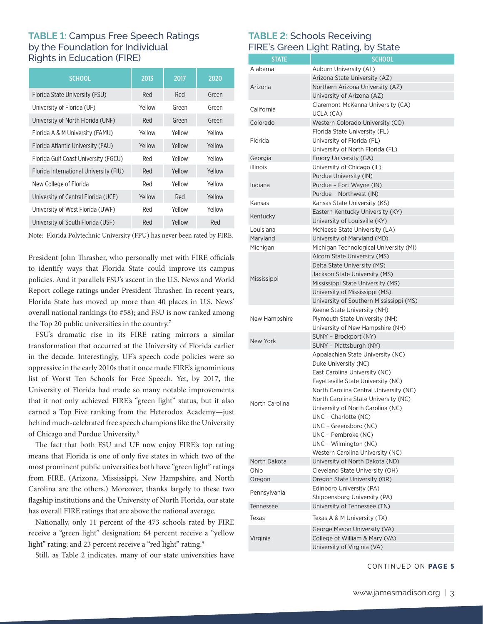### **TABLE 1:** Campus Free Speech Ratings by the Foundation for Individual Rights in Education (FIRE)

| <b>SCHOOL</b>                          | 2013   | 2017   | 2020   |
|----------------------------------------|--------|--------|--------|
| Florida State University (FSU)         | Red    | Red    | Green  |
| University of Florida (UF)             | Yellow | Green  | Green  |
| University of North Florida (UNF)      | Red    | Green  | Green  |
| Florida A & M University (FAMU)        | Yellow | Yellow | Yellow |
| Florida Atlantic University (FAU)      | Yellow | Yellow | Yellow |
| Florida Gulf Coast University (FGCU)   | Red    | Yellow | Yellow |
| Florida International University (FIU) | Red    | Yellow | Yellow |
| New College of Florida                 | Red    | Yellow | Yellow |
| University of Central Florida (UCF)    | Yellow | Red    | Yellow |
| University of West Florida (UWF)       | Red    | Yellow | Yellow |
| University of South Florida (USF)      | Red    | Yellow | Red    |

Note: Florida Polytechnic University (FPU) has never been rated by FIRE.

President John Thrasher, who personally met with FIRE officials to identify ways that Florida State could improve its campus policies. And it parallels FSU's ascent in the U.S. News and World Report college ratings under President Thrasher. In recent years, Florida State has moved up more than 40 places in U.S. News' overall national rankings (to #58); and FSU is now ranked among the Top 20 public universities in the country.<sup>7</sup>

FSU's dramatic rise in its FIRE rating mirrors a similar transformation that occurred at the University of Florida earlier in the decade. Interestingly, UF's speech code policies were so oppressive in the early 2010s that it once made FIRE's ignominious list of Worst Ten Schools for Free Speech. Yet, by 2017, the University of Florida had made so many notable improvements that it not only achieved FIRE's "green light" status, but it also earned a Top Five ranking from the Heterodox Academy—just behind much-celebrated free speech champions like the University of Chicago and Purdue University.8

The fact that both FSU and UF now enjoy FIRE's top rating means that Florida is one of only five states in which two of the most prominent public universities both have "green light" ratings from FIRE. (Arizona, Mississippi, New Hampshire, and North Carolina are the others.) Moreover, thanks largely to these two flagship institutions and the University of North Florida, our state has overall FIRE ratings that are above the national average.

Nationally, only 11 percent of the 473 schools rated by FIRE receive a "green light" designation; 64 percent receive a "yellow light" rating; and 23 percent receive a "red light" rating.<sup>9</sup>

Still, as Table 2 indicates, many of our state universities have

#### **TABLE 2:** Schools Receiving FIRE's Green Light Rating, by State

|                    | <b>SCHOOL</b>                                               |
|--------------------|-------------------------------------------------------------|
| <b>STATE</b>       |                                                             |
| Alabama            | Auburn University (AL)                                      |
|                    | Arizona State University (AZ)                               |
| Arizona            | Northern Arizona University (AZ)                            |
|                    | University of Arizona (AZ)                                  |
| California         | Claremont-McKenna University (CA)<br>UCLA (CA)              |
| Colorado           | Western Colorado University (CO)                            |
|                    | Florida State University (FL)                               |
| Florida            | University of Florida (FL)                                  |
|                    | University of North Florida (FL)                            |
| Georgia            | Emory University (GA)                                       |
| illinois           | University of Chicago (IL)                                  |
|                    | Purdue University (IN)                                      |
| Indiana            | Purdue - Fort Wayne (IN)                                    |
|                    | Purdue - Northwest (IN)                                     |
| Kansas             | Kansas State University (KS)                                |
|                    | Eastern Kentucky University (KY)                            |
| Kentucky           | University of Louisville (KY)                               |
| Louisiana          | McNeese State University (LA)                               |
| Maryland           | University of Maryland (MD)                                 |
| Michigan           | Michigan Technological University (MI)                      |
|                    | Alcorn State University (MS)                                |
|                    | Delta State University (MS)                                 |
|                    | Jackson State University (MS)                               |
| Mississippi        | Mississippi State University (MS)                           |
|                    | University of Mississippi (MS)                              |
|                    | University of Southern Mississippi (MS)                     |
|                    | Keene State University (NH)                                 |
| New Hampshire      | Plymouth State University (NH)                              |
|                    | University of New Hampshire (NH)                            |
| New York           | SUNY - Brockport (NY)                                       |
|                    | SUNY - Plattsburgh (NY)                                     |
|                    | Appalachian State University (NC)                           |
|                    | Duke University (NC)                                        |
|                    | East Carolina University (NC)                               |
|                    | Fayetteville State University (NC)                          |
|                    | North Carolina Central University (NC)                      |
| North Carolina     | North Carolina State University (NC)                        |
|                    | University of North Carolina (NC)                           |
|                    | UNC - Charlotte (NC)                                        |
|                    | UNC - Greensboro (NC)                                       |
|                    | UNC - Pembroke (NC)                                         |
|                    | UNC – Wilmington (NC)                                       |
|                    | Western Carolina University (NC)                            |
| North Dakota       | University of North Dakota (ND)                             |
| Ohio               | Cleveland State University (OH)                             |
| Oregon             | Oregon State University (OR)                                |
| Pennsylvania       | Edinboro University (PA)<br>Shippensburg University (PA)    |
|                    |                                                             |
| Tennessee<br>Texas | University of Tennessee (TN)<br>Texas A & M University (TX) |
|                    | George Mason University (VA)                                |
| Virginia           | College of William & Mary (VA)                              |
|                    | University of Virginia (VA)                                 |

CONTINUED ON **PAGE 5**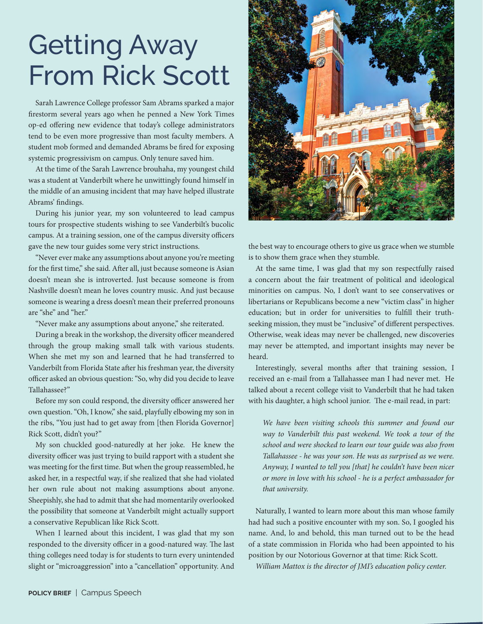# Getting Away From Rick Scott

Sarah Lawrence College professor Sam Abrams sparked a major firestorm several years ago when he penned a New York Times op-ed offering new evidence that today's college administrators tend to be even more progressive than most faculty members. A student mob formed and demanded Abrams be fired for exposing systemic progressivism on campus. Only tenure saved him.

At the time of the Sarah Lawrence brouhaha, my youngest child was a student at Vanderbilt where he unwittingly found himself in the middle of an amusing incident that may have helped illustrate Abrams' findings.

During his junior year, my son volunteered to lead campus tours for prospective students wishing to see Vanderbilt's bucolic campus. At a training session, one of the campus diversity officers gave the new tour guides some very strict instructions.

"Never ever make any assumptions about anyone you're meeting for the first time," she said. After all, just because someone is Asian doesn't mean she is introverted. Just because someone is from Nashville doesn't mean he loves country music. And just because someone is wearing a dress doesn't mean their preferred pronouns are "she" and "her."

"Never make any assumptions about anyone," she reiterated.

During a break in the workshop, the diversity officer meandered through the group making small talk with various students. When she met my son and learned that he had transferred to Vanderbilt from Florida State after his freshman year, the diversity officer asked an obvious question: "So, why did you decide to leave Tallahassee?"

Before my son could respond, the diversity officer answered her own question. "Oh, I know," she said, playfully elbowing my son in the ribs, "You just had to get away from [then Florida Governor] Rick Scott, didn't you?"

My son chuckled good-naturedly at her joke. He knew the diversity officer was just trying to build rapport with a student she was meeting for the first time. But when the group reassembled, he asked her, in a respectful way, if she realized that she had violated her own rule about not making assumptions about anyone. Sheepishly, she had to admit that she had momentarily overlooked the possibility that someone at Vanderbilt might actually support a conservative Republican like Rick Scott.

When I learned about this incident, I was glad that my son responded to the diversity officer in a good-natured way. The last thing colleges need today is for students to turn every unintended slight or "microaggression" into a "cancellation" opportunity. And



the best way to encourage others to give us grace when we stumble is to show them grace when they stumble.

At the same time, I was glad that my son respectfully raised a concern about the fair treatment of political and ideological minorities on campus. No, I don't want to see conservatives or libertarians or Republicans become a new "victim class" in higher education; but in order for universities to fulfill their truthseeking mission, they must be "inclusive" of different perspectives. Otherwise, weak ideas may never be challenged, new discoveries may never be attempted, and important insights may never be heard.

Interestingly, several months after that training session, I received an e-mail from a Tallahassee man I had never met. He talked about a recent college visit to Vanderbilt that he had taken with his daughter, a high school junior. The e-mail read, in part:

*We have been visiting schools this summer and found our way to Vanderbilt this past weekend. We took a tour of the school and were shocked to learn our tour guide was also from Tallahassee - he was your son. He was as surprised as we were. Anyway, I wanted to tell you [that] he couldn't have been nicer or more in love with his school - he is a perfect ambassador for that university.*

Naturally, I wanted to learn more about this man whose family had had such a positive encounter with my son. So, I googled his name. And, lo and behold, this man turned out to be the head of a state commission in Florida who had been appointed to his position by our Notorious Governor at that time: Rick Scott.

*William Mattox is the director of JMI's education policy center.*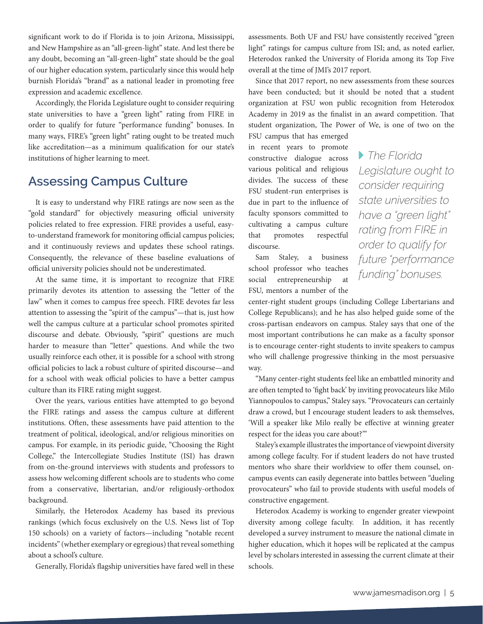significant work to do if Florida is to join Arizona, Mississippi, and New Hampshire as an "all-green-light" state. And lest there be any doubt, becoming an "all-green-light" state should be the goal of our higher education system, particularly since this would help burnish Florida's "brand" as a national leader in promoting free expression and academic excellence.

Accordingly, the Florida Legislature ought to consider requiring state universities to have a "green light" rating from FIRE in order to qualify for future "performance funding" bonuses. In many ways, FIRE's "green light" rating ought to be treated much like accreditation—as a minimum qualification for our state's institutions of higher learning to meet.

### **Assessing Campus Culture**

It is easy to understand why FIRE ratings are now seen as the "gold standard" for objectively measuring official university policies related to free expression. FIRE provides a useful, easyto-understand framework for monitoring official campus policies; and it continuously reviews and updates these school ratings. Consequently, the relevance of these baseline evaluations of official university policies should not be underestimated.

At the same time, it is important to recognize that FIRE primarily devotes its attention to assessing the "letter of the law" when it comes to campus free speech. FIRE devotes far less attention to assessing the "spirit of the campus"—that is, just how well the campus culture at a particular school promotes spirited discourse and debate. Obviously, "spirit" questions are much harder to measure than "letter" questions. And while the two usually reinforce each other, it is possible for a school with strong official policies to lack a robust culture of spirited discourse—and for a school with weak official policies to have a better campus culture than its FIRE rating might suggest.

Over the years, various entities have attempted to go beyond the FIRE ratings and assess the campus culture at different institutions. Often, these assessments have paid attention to the treatment of political, ideological, and/or religious minorities on campus. For example, in its periodic guide, "Choosing the Right College," the Intercollegiate Studies Institute (ISI) has drawn from on-the-ground interviews with students and professors to assess how welcoming different schools are to students who come from a conservative, libertarian, and/or religiously-orthodox background.

Similarly, the Heterodox Academy has based its previous rankings (which focus exclusively on the U.S. News list of Top 150 schools) on a variety of factors—including "notable recent incidents" (whether exemplary or egregious) that reveal something about a school's culture.

Generally, Florida's flagship universities have fared well in these

assessments. Both UF and FSU have consistently received "green light" ratings for campus culture from ISI; and, as noted earlier, Heterodox ranked the University of Florida among its Top Five overall at the time of JMI's 2017 report.

Since that 2017 report, no new assessments from these sources have been conducted; but it should be noted that a student organization at FSU won public recognition from Heterodox Academy in 2019 as the finalist in an award competition. That student organization, The Power of We, is one of two on the

FSU campus that has emerged in recent years to promote constructive dialogue across various political and religious divides. The success of these FSU student-run enterprises is due in part to the influence of faculty sponsors committed to cultivating a campus culture that promotes respectful discourse.

Sam Staley, a business school professor who teaches social entrepreneurship at FSU, mentors a number of the

 *The Florida Legislature ought to consider requiring state universities to have a "green light" rating from FIRE in order to qualify for future "performance funding" bonuses.*

center-right student groups (including College Libertarians and College Republicans); and he has also helped guide some of the cross-partisan endeavors on campus. Staley says that one of the most important contributions he can make as a faculty sponsor is to encourage center-right students to invite speakers to campus who will challenge progressive thinking in the most persuasive way.

"Many center-right students feel like an embattled minority and are often tempted to 'fight back' by inviting provocateurs like Milo Yiannopoulos to campus," Staley says. "Provocateurs can certainly draw a crowd, but I encourage student leaders to ask themselves, 'Will a speaker like Milo really be effective at winning greater respect for the ideas you care about?'"

Staley's example illustrates the importance of viewpoint diversity among college faculty. For if student leaders do not have trusted mentors who share their worldview to offer them counsel, oncampus events can easily degenerate into battles between "dueling provocateurs" who fail to provide students with useful models of constructive engagement.

Heterodox Academy is working to engender greater viewpoint diversity among college faculty. In addition, it has recently developed a survey instrument to measure the national climate in higher education, which it hopes will be replicated at the campus level by scholars interested in assessing the current climate at their schools.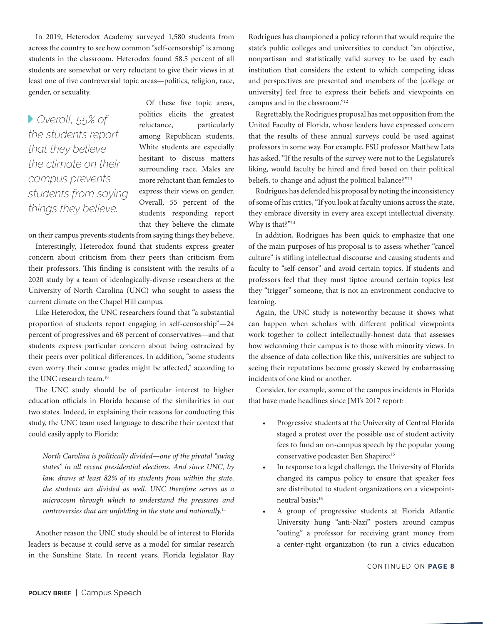In 2019, Heterodox Academy surveyed 1,580 students from across the country to see how common "self-censorship" is among students in the classroom. Heterodox found 58.5 percent of all students are somewhat or very reluctant to give their views in at least one of five controversial topic areas—politics, religion, race, gender, or sexuality.

 *Overall, 55% of the students report that they believe the climate on their campus prevents students from saying things they believe.*

Of these five topic areas, politics elicits the greatest reluctance, particularly among Republican students. White students are especially hesitant to discuss matters surrounding race. Males are more reluctant than females to express their views on gender. Overall, 55 percent of the students responding report that they believe the climate

on their campus prevents students from saying things they believe.

Interestingly, Heterodox found that students express greater concern about criticism from their peers than criticism from their professors. This finding is consistent with the results of a 2020 study by a team of ideologically-diverse researchers at the University of North Carolina (UNC) who sought to assess the current climate on the Chapel Hill campus.

Like Heterodox, the UNC researchers found that "a substantial proportion of students report engaging in self-censorship"—24 percent of progressives and 68 percent of conservatives—and that students express particular concern about being ostracized by their peers over political differences. In addition, "some students even worry their course grades might be affected," according to the UNC research team.10

The UNC study should be of particular interest to higher education officials in Florida because of the similarities in our two states. Indeed, in explaining their reasons for conducting this study, the UNC team used language to describe their context that could easily apply to Florida:

*North Carolina is politically divided—one of the pivotal "swing states" in all recent presidential elections. And since UNC, by law, draws at least 82% of its students from within the state, the students are divided as well. UNC therefore serves as a microcosm through which to understand the pressures and controversies that are unfolding in the state and nationally.*<sup>11</sup>

Another reason the UNC study should be of interest to Florida leaders is because it could serve as a model for similar research in the Sunshine State. In recent years, Florida legislator Ray

Rodrigues has championed a policy reform that would require the state's public colleges and universities to conduct "an objective, nonpartisan and statistically valid survey to be used by each institution that considers the extent to which competing ideas and perspectives are presented and members of the [college or university] feel free to express their beliefs and viewpoints on campus and in the classroom."12

Regrettably, the Rodrigues proposal has met opposition from the United Faculty of Florida, whose leaders have expressed concern that the results of these annual surveys could be used against professors in some way. For example, FSU professor Matthew Lata has asked, "If the results of the survey were not to the Legislature's liking, would faculty be hired and fired based on their political beliefs, to change and adjust the political balance?"13

Rodrigues has defended his proposal by noting the inconsistency of some of his critics, "If you look at faculty unions across the state, they embrace diversity in every area except intellectual diversity. Why is that?"<sup>14</sup>

In addition, Rodrigues has been quick to emphasize that one of the main purposes of his proposal is to assess whether "cancel culture" is stifling intellectual discourse and causing students and faculty to "self-censor" and avoid certain topics. If students and professors feel that they must tiptoe around certain topics lest they "trigger" someone, that is not an environment conducive to learning.

Again, the UNC study is noteworthy because it shows what can happen when scholars with different political viewpoints work together to collect intellectually-honest data that assesses how welcoming their campus is to those with minority views. In the absence of data collection like this, universities are subject to seeing their reputations become grossly skewed by embarrassing incidents of one kind or another.

Consider, for example, some of the campus incidents in Florida that have made headlines since JMI's 2017 report:

- Progressive students at the University of Central Florida staged a protest over the possible use of student activity fees to fund an on-campus speech by the popular young conservative podcaster Ben Shapiro;<sup>15</sup>
- In response to a legal challenge, the University of Florida changed its campus policy to ensure that speaker fees are distributed to student organizations on a viewpointneutral basis;<sup>16</sup>
- A group of progressive students at Florida Atlantic University hung "anti-Nazi" posters around campus "outing" a professor for receiving grant money from a center-right organization (to run a civics education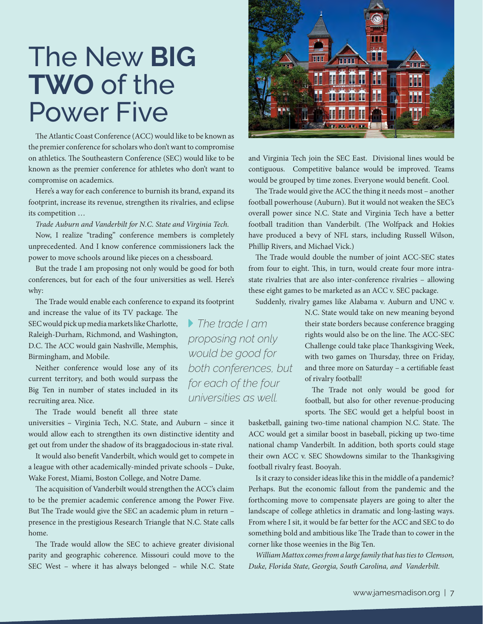# The New **BIG TWO** of the Power Five

The Atlantic Coast Conference (ACC) would like to be known as the premier conference for scholars who don't want to compromise on athletics. The Southeastern Conference (SEC) would like to be known as the premier conference for athletes who don't want to compromise on academics.

Here's a way for each conference to burnish its brand, expand its footprint, increase its revenue, strengthen its rivalries, and eclipse its competition …

*Trade Auburn and Vanderbilt for N.C. State and Virginia Tech.*

Now, I realize "trading" conference members is completely unprecedented. And I know conference commissioners lack the power to move schools around like pieces on a chessboard.

But the trade I am proposing not only would be good for both conferences, but for each of the four universities as well. Here's why:

The Trade would enable each conference to expand its footprint and increase the value of its TV package. The SEC would pick up media markets like Charlotte, Raleigh-Durham, Richmond, and Washington, D.C. The ACC would gain Nashville, Memphis, Birmingham, and Mobile.

Neither conference would lose any of its current territory, and both would surpass the Big Ten in number of states included in its recruiting area. Nice.

The Trade would benefit all three state

universities – Virginia Tech, N.C. State, and Auburn – since it would allow each to strengthen its own distinctive identity and get out from under the shadow of its braggadocious in-state rival.

It would also benefit Vanderbilt, which would get to compete in a league with other academically-minded private schools – Duke, Wake Forest, Miami, Boston College, and Notre Dame.

The acquisition of Vanderbilt would strengthen the ACC's claim to be the premier academic conference among the Power Five. But The Trade would give the SEC an academic plum in return – presence in the prestigious Research Triangle that N.C. State calls home.

The Trade would allow the SEC to achieve greater divisional parity and geographic coherence. Missouri could move to the SEC West – where it has always belonged – while N.C. State



and Virginia Tech join the SEC East. Divisional lines would be contiguous. Competitive balance would be improved. Teams would be grouped by time zones. Everyone would benefit. Cool.

The Trade would give the ACC the thing it needs most – another football powerhouse (Auburn). But it would not weaken the SEC's overall power since N.C. State and Virginia Tech have a better football tradition than Vanderbilt. (The Wolfpack and Hokies have produced a bevy of NFL stars, including Russell Wilson, Phillip Rivers, and Michael Vick.)

The Trade would double the number of joint ACC-SEC states from four to eight. This, in turn, would create four more intrastate rivalries that are also inter-conference rivalries – allowing these eight games to be marketed as an ACC v. SEC package.

Suddenly, rivalry games like Alabama v. Auburn and UNC v.

N.C. State would take on new meaning beyond their state borders because conference bragging rights would also be on the line. The ACC-SEC Challenge could take place Thanksgiving Week, with two games on Thursday, three on Friday, and three more on Saturday – a certifiable feast of rivalry football!

The Trade not only would be good for football, but also for other revenue-producing sports. The SEC would get a helpful boost in

basketball, gaining two-time national champion N.C. State. The ACC would get a similar boost in baseball, picking up two-time national champ Vanderbilt. In addition, both sports could stage their own ACC v. SEC Showdowns similar to the Thanksgiving football rivalry feast. Booyah.

Is it crazy to consider ideas like this in the middle of a pandemic? Perhaps. But the economic fallout from the pandemic and the forthcoming move to compensate players are going to alter the landscape of college athletics in dramatic and long-lasting ways. From where I sit, it would be far better for the ACC and SEC to do something bold and ambitious like The Trade than to cower in the corner like those weenies in the Big Ten.

*William Mattox comes from a large family that has ties to Clemson, Duke, Florida State, Georgia, South Carolina, and Vanderbilt.*

 *The trade I am proposing not only would be good for both conferences, but for each of the four universities as well.*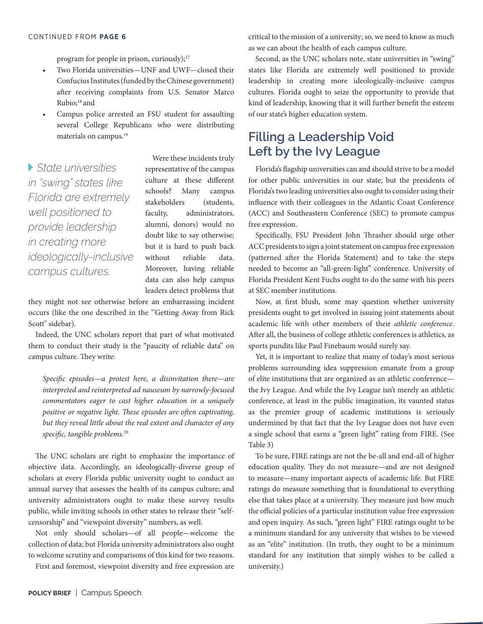program for people in prison, curiously);<sup>17</sup>

- Two Florida universities—UNF and UWF—closed their Confucius Institutes (funded by the Chinese government) after receiving complaints from U.S. Senator Marco Rubio;<sup>18</sup> and
- Campus police arrested an FSU student for assaulting several College Republicans who were distributing materials on campus.19

 *State universities in "swing" states like Florida are extremely well positioned to provide leadership in creating more ideologically-inclusive campus cultures.*

Were these incidents truly representative of the campus culture at these different schools? Many campus stakeholders (students, faculty, administrators, alumni, donors) would no doubt like to say otherwise; but it is hard to push back without reliable data. Moreover, having reliable data can also help campus leaders detect problems that

they might not see otherwise before an embarrassing incident occurs (like the one described in the '"Getting Away from Rick Scott" sidebar).

Indeed, the UNC scholars report that part of what motivated them to conduct their study is the "paucity of reliable data" on campus culture. They write:

*Specific episodes—a protest here, a disinvitation there—are interpreted and reinterpreted ad nauseum by narrowly-focused commentators eager to cast higher education in a uniquely positive or negative light. These episodes are often captivating, but they reveal little about the real extent and character of any specific, tangible problems.*<sup>20</sup>

The UNC scholars are right to emphasize the importance of objective data. Accordingly, an ideologically-diverse group of scholars at every Florida public university ought to conduct an annual survey that assesses the health of its campus culture; and university administrators ought to make these survey results public, while inviting schools in other states to release their "selfcensorship" and "viewpoint diversity" numbers, as well.

Not only should scholars—of all people—welcome the collection of data; but Florida university administrators also ought to welcome scrutiny and comparisons of this kind for two reasons.

First and foremost, viewpoint diversity and free expression are

critical to the mission of a university; so, we need to know as much as we can about the health of each campus culture.

Second, as the UNC scholars note, state universities in "swing" states like Florida are extremely well positioned to provide leadership in creating more ideologically-inclusive campus cultures. Florida ought to seize the opportunity to provide that kind of leadership, knowing that it will further benefit the esteem of our state's higher education system.

## **Filling a Leadership Void Left by the Ivy League**

Florida's flagship universities can and should strive to be a model for other public universities in our state; but the presidents of Florida's two leading universities also ought to consider using their influence with their colleagues in the Atlantic Coast Conference (ACC) and Southeastern Conference (SEC) to promote campus free expression.

Specifically, FSU President John Thrasher should urge other ACC presidents to sign a joint statement on campus free expression (patterned after the Florida Statement) and to take the steps needed to become an "all-green-light" conference. University of Florida President Kent Fuchs ought to do the same with his peers at SEC member institutions.

Now, at first blush, some may question whether university presidents ought to get involved in issuing joint statements about academic life with other members of their *athletic conference*. After all, the business of college athletic conferences is athletics, as sports pundits like Paul Finebaum would surely say.

Yet, it is important to realize that many of today's most serious problems surrounding idea suppression emanate from a group of elite institutions that are organized as an athletic conference the Ivy League. And while the Ivy League isn't merely an athletic conference, at least in the public imagination, its vaunted status as the premier group of academic institutions is seriously undermined by that fact that the Ivy League does not have even a single school that earns a "green light" rating from FIRE. (See Table 3)

To be sure, FIRE ratings are not the be-all and end-all of higher education quality. They do not measure—and are not designed to measure—many important aspects of academic life. But FIRE ratings do measure something that is foundational to everything else that takes place at a university. They measure just how much the official policies of a particular institution value free expression and open inquiry. As such, "green light" FIRE ratings ought to be a minimum standard for any university that wishes to be viewed as an "elite" institution. (In truth, they ought to be a minimum standard for any institution that simply wishes to be called a university.)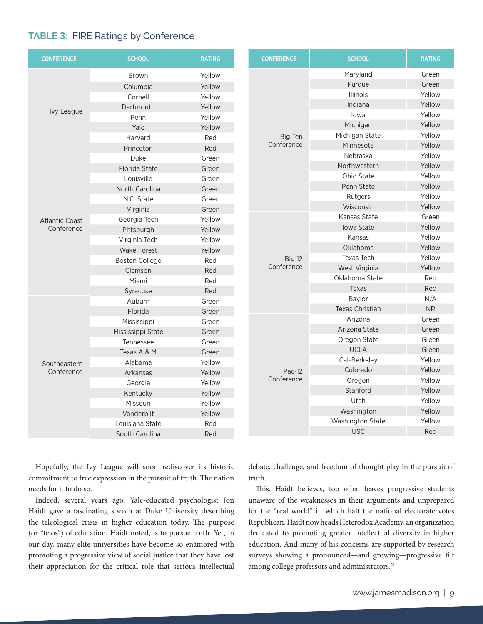### **TABLE 3:** FIRE Ratings by Conference

| Maryland<br>Green<br>Yellow<br><b>Brown</b><br>Purdue<br>Green<br>Columbia<br>Yellow<br><b>Illinois</b><br>Yellow<br>Cornell<br>Yellow<br>Indiana<br>Yellow<br>Dartmouth<br>Yellow<br>Ivy League<br>Yellow<br>lowa<br>Yellow<br>Penn<br>Michigan<br>Yellow<br>Yale<br>Yellow<br>Yellow<br>Michigan State<br>Big Ten<br>Harvard<br>Red<br>Conference<br>Minnesota<br>Yellow<br>Red<br>Princeton<br>Yellow<br>Nebraska<br>Duke<br>Green<br>Northwestern<br>Yellow<br>Florida State<br>Green<br>Ohio State<br>Yellow<br>Louisville<br>Green<br>Penn State<br>Yellow<br>North Carolina<br>Green<br>Yellow<br>Rutgers<br>N.C. State<br>Green<br>Wisconsin<br>Yellow<br>Green<br>Virginia<br>Kansas State<br>Green<br>Yellow<br>Georgia Tech<br><b>Atlantic Coast</b><br><b>Iowa State</b><br>Yellow<br>Conference<br>Yellow<br>Pittsburgh<br>Kansas<br>Yellow<br>Yellow<br>Virginia Tech<br>Oklahoma<br>Yellow<br>Yellow<br><b>Wake Forest</b><br>Yellow<br><b>Texas Tech</b><br>Big 12<br><b>Boston College</b><br>Red<br>Conference<br>Yellow<br>West Virginia<br>Clemson<br>Red<br>Oklahoma State<br>Red<br>Miami<br>Red<br>Red<br>Texas<br>Red<br>Syracuse<br>N/A<br>Baylor<br>Auburn<br>Green<br><b>NR</b><br><b>Texas Christian</b><br>Florida<br>Green<br>Arizona<br>Green<br>Mississippi<br>Green<br>Arizona State<br>Green<br>Mississippi State<br>Green<br>Oregon State<br>Green<br>Tennessee<br>Green<br><b>UCLA</b><br>Green<br>Texas A & M<br>Green<br>Cal-Berkeley<br>Yellow<br>Yellow<br>Alabama<br>Southeastern<br>Colorado<br>Yellow<br>Pac-12<br>Conference<br>Yellow<br>Arkansas<br>Conference<br>Yellow<br>Oregon<br>Yellow<br>Georgia<br>Stanford<br>Yellow<br>Yellow<br>Kentucky<br>Utah<br>Yellow<br>Yellow<br>Missouri<br>Washington<br>Yellow<br>Yellow<br>Vanderbilt<br>Washington State<br>Yellow<br>Louisiana State<br>Red<br><b>USC</b><br>Red<br>South Carolina<br>Red | <b>CONFERENCE</b> | <b>SCHOOL</b> | <b>RATING</b> |  | <b>CONFERENCE</b> | <b>SCHOOL</b> | <b>RATING</b> |
|-------------------------------------------------------------------------------------------------------------------------------------------------------------------------------------------------------------------------------------------------------------------------------------------------------------------------------------------------------------------------------------------------------------------------------------------------------------------------------------------------------------------------------------------------------------------------------------------------------------------------------------------------------------------------------------------------------------------------------------------------------------------------------------------------------------------------------------------------------------------------------------------------------------------------------------------------------------------------------------------------------------------------------------------------------------------------------------------------------------------------------------------------------------------------------------------------------------------------------------------------------------------------------------------------------------------------------------------------------------------------------------------------------------------------------------------------------------------------------------------------------------------------------------------------------------------------------------------------------------------------------------------------------------------------------------------------------------------------------------------------------------------------------------------------------------------------------------------------------------------------------------------------|-------------------|---------------|---------------|--|-------------------|---------------|---------------|
|                                                                                                                                                                                                                                                                                                                                                                                                                                                                                                                                                                                                                                                                                                                                                                                                                                                                                                                                                                                                                                                                                                                                                                                                                                                                                                                                                                                                                                                                                                                                                                                                                                                                                                                                                                                                                                                                                                 |                   |               |               |  |                   |               |               |
|                                                                                                                                                                                                                                                                                                                                                                                                                                                                                                                                                                                                                                                                                                                                                                                                                                                                                                                                                                                                                                                                                                                                                                                                                                                                                                                                                                                                                                                                                                                                                                                                                                                                                                                                                                                                                                                                                                 |                   |               |               |  |                   |               |               |
|                                                                                                                                                                                                                                                                                                                                                                                                                                                                                                                                                                                                                                                                                                                                                                                                                                                                                                                                                                                                                                                                                                                                                                                                                                                                                                                                                                                                                                                                                                                                                                                                                                                                                                                                                                                                                                                                                                 |                   |               |               |  |                   |               |               |
|                                                                                                                                                                                                                                                                                                                                                                                                                                                                                                                                                                                                                                                                                                                                                                                                                                                                                                                                                                                                                                                                                                                                                                                                                                                                                                                                                                                                                                                                                                                                                                                                                                                                                                                                                                                                                                                                                                 |                   |               |               |  |                   |               |               |
|                                                                                                                                                                                                                                                                                                                                                                                                                                                                                                                                                                                                                                                                                                                                                                                                                                                                                                                                                                                                                                                                                                                                                                                                                                                                                                                                                                                                                                                                                                                                                                                                                                                                                                                                                                                                                                                                                                 |                   |               |               |  |                   |               |               |
|                                                                                                                                                                                                                                                                                                                                                                                                                                                                                                                                                                                                                                                                                                                                                                                                                                                                                                                                                                                                                                                                                                                                                                                                                                                                                                                                                                                                                                                                                                                                                                                                                                                                                                                                                                                                                                                                                                 |                   |               |               |  |                   |               |               |
|                                                                                                                                                                                                                                                                                                                                                                                                                                                                                                                                                                                                                                                                                                                                                                                                                                                                                                                                                                                                                                                                                                                                                                                                                                                                                                                                                                                                                                                                                                                                                                                                                                                                                                                                                                                                                                                                                                 |                   |               |               |  |                   |               |               |
|                                                                                                                                                                                                                                                                                                                                                                                                                                                                                                                                                                                                                                                                                                                                                                                                                                                                                                                                                                                                                                                                                                                                                                                                                                                                                                                                                                                                                                                                                                                                                                                                                                                                                                                                                                                                                                                                                                 |                   |               |               |  |                   |               |               |
|                                                                                                                                                                                                                                                                                                                                                                                                                                                                                                                                                                                                                                                                                                                                                                                                                                                                                                                                                                                                                                                                                                                                                                                                                                                                                                                                                                                                                                                                                                                                                                                                                                                                                                                                                                                                                                                                                                 |                   |               |               |  |                   |               |               |
|                                                                                                                                                                                                                                                                                                                                                                                                                                                                                                                                                                                                                                                                                                                                                                                                                                                                                                                                                                                                                                                                                                                                                                                                                                                                                                                                                                                                                                                                                                                                                                                                                                                                                                                                                                                                                                                                                                 |                   |               |               |  |                   |               |               |
|                                                                                                                                                                                                                                                                                                                                                                                                                                                                                                                                                                                                                                                                                                                                                                                                                                                                                                                                                                                                                                                                                                                                                                                                                                                                                                                                                                                                                                                                                                                                                                                                                                                                                                                                                                                                                                                                                                 |                   |               |               |  |                   |               |               |
|                                                                                                                                                                                                                                                                                                                                                                                                                                                                                                                                                                                                                                                                                                                                                                                                                                                                                                                                                                                                                                                                                                                                                                                                                                                                                                                                                                                                                                                                                                                                                                                                                                                                                                                                                                                                                                                                                                 |                   |               |               |  |                   |               |               |
|                                                                                                                                                                                                                                                                                                                                                                                                                                                                                                                                                                                                                                                                                                                                                                                                                                                                                                                                                                                                                                                                                                                                                                                                                                                                                                                                                                                                                                                                                                                                                                                                                                                                                                                                                                                                                                                                                                 |                   |               |               |  |                   |               |               |
|                                                                                                                                                                                                                                                                                                                                                                                                                                                                                                                                                                                                                                                                                                                                                                                                                                                                                                                                                                                                                                                                                                                                                                                                                                                                                                                                                                                                                                                                                                                                                                                                                                                                                                                                                                                                                                                                                                 |                   |               |               |  |                   |               |               |
|                                                                                                                                                                                                                                                                                                                                                                                                                                                                                                                                                                                                                                                                                                                                                                                                                                                                                                                                                                                                                                                                                                                                                                                                                                                                                                                                                                                                                                                                                                                                                                                                                                                                                                                                                                                                                                                                                                 |                   |               |               |  |                   |               |               |
|                                                                                                                                                                                                                                                                                                                                                                                                                                                                                                                                                                                                                                                                                                                                                                                                                                                                                                                                                                                                                                                                                                                                                                                                                                                                                                                                                                                                                                                                                                                                                                                                                                                                                                                                                                                                                                                                                                 |                   |               |               |  |                   |               |               |
|                                                                                                                                                                                                                                                                                                                                                                                                                                                                                                                                                                                                                                                                                                                                                                                                                                                                                                                                                                                                                                                                                                                                                                                                                                                                                                                                                                                                                                                                                                                                                                                                                                                                                                                                                                                                                                                                                                 |                   |               |               |  |                   |               |               |
|                                                                                                                                                                                                                                                                                                                                                                                                                                                                                                                                                                                                                                                                                                                                                                                                                                                                                                                                                                                                                                                                                                                                                                                                                                                                                                                                                                                                                                                                                                                                                                                                                                                                                                                                                                                                                                                                                                 |                   |               |               |  |                   |               |               |
|                                                                                                                                                                                                                                                                                                                                                                                                                                                                                                                                                                                                                                                                                                                                                                                                                                                                                                                                                                                                                                                                                                                                                                                                                                                                                                                                                                                                                                                                                                                                                                                                                                                                                                                                                                                                                                                                                                 |                   |               |               |  |                   |               |               |
|                                                                                                                                                                                                                                                                                                                                                                                                                                                                                                                                                                                                                                                                                                                                                                                                                                                                                                                                                                                                                                                                                                                                                                                                                                                                                                                                                                                                                                                                                                                                                                                                                                                                                                                                                                                                                                                                                                 |                   |               |               |  |                   |               |               |
|                                                                                                                                                                                                                                                                                                                                                                                                                                                                                                                                                                                                                                                                                                                                                                                                                                                                                                                                                                                                                                                                                                                                                                                                                                                                                                                                                                                                                                                                                                                                                                                                                                                                                                                                                                                                                                                                                                 |                   |               |               |  |                   |               |               |
|                                                                                                                                                                                                                                                                                                                                                                                                                                                                                                                                                                                                                                                                                                                                                                                                                                                                                                                                                                                                                                                                                                                                                                                                                                                                                                                                                                                                                                                                                                                                                                                                                                                                                                                                                                                                                                                                                                 |                   |               |               |  |                   |               |               |
|                                                                                                                                                                                                                                                                                                                                                                                                                                                                                                                                                                                                                                                                                                                                                                                                                                                                                                                                                                                                                                                                                                                                                                                                                                                                                                                                                                                                                                                                                                                                                                                                                                                                                                                                                                                                                                                                                                 |                   |               |               |  |                   |               |               |
|                                                                                                                                                                                                                                                                                                                                                                                                                                                                                                                                                                                                                                                                                                                                                                                                                                                                                                                                                                                                                                                                                                                                                                                                                                                                                                                                                                                                                                                                                                                                                                                                                                                                                                                                                                                                                                                                                                 |                   |               |               |  |                   |               |               |
|                                                                                                                                                                                                                                                                                                                                                                                                                                                                                                                                                                                                                                                                                                                                                                                                                                                                                                                                                                                                                                                                                                                                                                                                                                                                                                                                                                                                                                                                                                                                                                                                                                                                                                                                                                                                                                                                                                 |                   |               |               |  |                   |               |               |
|                                                                                                                                                                                                                                                                                                                                                                                                                                                                                                                                                                                                                                                                                                                                                                                                                                                                                                                                                                                                                                                                                                                                                                                                                                                                                                                                                                                                                                                                                                                                                                                                                                                                                                                                                                                                                                                                                                 |                   |               |               |  |                   |               |               |
|                                                                                                                                                                                                                                                                                                                                                                                                                                                                                                                                                                                                                                                                                                                                                                                                                                                                                                                                                                                                                                                                                                                                                                                                                                                                                                                                                                                                                                                                                                                                                                                                                                                                                                                                                                                                                                                                                                 |                   |               |               |  |                   |               |               |
|                                                                                                                                                                                                                                                                                                                                                                                                                                                                                                                                                                                                                                                                                                                                                                                                                                                                                                                                                                                                                                                                                                                                                                                                                                                                                                                                                                                                                                                                                                                                                                                                                                                                                                                                                                                                                                                                                                 |                   |               |               |  |                   |               |               |
|                                                                                                                                                                                                                                                                                                                                                                                                                                                                                                                                                                                                                                                                                                                                                                                                                                                                                                                                                                                                                                                                                                                                                                                                                                                                                                                                                                                                                                                                                                                                                                                                                                                                                                                                                                                                                                                                                                 |                   |               |               |  |                   |               |               |
|                                                                                                                                                                                                                                                                                                                                                                                                                                                                                                                                                                                                                                                                                                                                                                                                                                                                                                                                                                                                                                                                                                                                                                                                                                                                                                                                                                                                                                                                                                                                                                                                                                                                                                                                                                                                                                                                                                 |                   |               |               |  |                   |               |               |
|                                                                                                                                                                                                                                                                                                                                                                                                                                                                                                                                                                                                                                                                                                                                                                                                                                                                                                                                                                                                                                                                                                                                                                                                                                                                                                                                                                                                                                                                                                                                                                                                                                                                                                                                                                                                                                                                                                 |                   |               |               |  |                   |               |               |
|                                                                                                                                                                                                                                                                                                                                                                                                                                                                                                                                                                                                                                                                                                                                                                                                                                                                                                                                                                                                                                                                                                                                                                                                                                                                                                                                                                                                                                                                                                                                                                                                                                                                                                                                                                                                                                                                                                 |                   |               |               |  |                   |               |               |
|                                                                                                                                                                                                                                                                                                                                                                                                                                                                                                                                                                                                                                                                                                                                                                                                                                                                                                                                                                                                                                                                                                                                                                                                                                                                                                                                                                                                                                                                                                                                                                                                                                                                                                                                                                                                                                                                                                 |                   |               |               |  |                   |               |               |
|                                                                                                                                                                                                                                                                                                                                                                                                                                                                                                                                                                                                                                                                                                                                                                                                                                                                                                                                                                                                                                                                                                                                                                                                                                                                                                                                                                                                                                                                                                                                                                                                                                                                                                                                                                                                                                                                                                 |                   |               |               |  |                   |               |               |
|                                                                                                                                                                                                                                                                                                                                                                                                                                                                                                                                                                                                                                                                                                                                                                                                                                                                                                                                                                                                                                                                                                                                                                                                                                                                                                                                                                                                                                                                                                                                                                                                                                                                                                                                                                                                                                                                                                 |                   |               |               |  |                   |               |               |
|                                                                                                                                                                                                                                                                                                                                                                                                                                                                                                                                                                                                                                                                                                                                                                                                                                                                                                                                                                                                                                                                                                                                                                                                                                                                                                                                                                                                                                                                                                                                                                                                                                                                                                                                                                                                                                                                                                 |                   |               |               |  |                   |               |               |

Hopefully, the Ivy League will soon rediscover its historic commitment to free expression in the pursuit of truth. The nation needs for it to do so.

Indeed, several years ago, Yale-educated psychologist Jon Haidt gave a fascinating speech at Duke University describing the teleological crisis in higher education today. The purpose (or "telos") of education, Haidt noted, is to pursue truth. Yet, in our day, many elite universities have become so enamored with promoting a progressive view of social justice that they have lost their appreciation for the critical role that serious intellectual

debate, challenge, and freedom of thought play in the pursuit of truth.

This, Haidt believes, too often leaves progressive students unaware of the weaknesses in their arguments and unprepared for the "real world" in which half the national electorate votes Republican. Haidt now heads Heterodox Academy, an organization dedicated to promoting greater intellectual diversity in higher education. And many of his concerns are supported by research surveys showing a pronounced—and growing—progressive tilt among college professors and administrators.<sup>21</sup>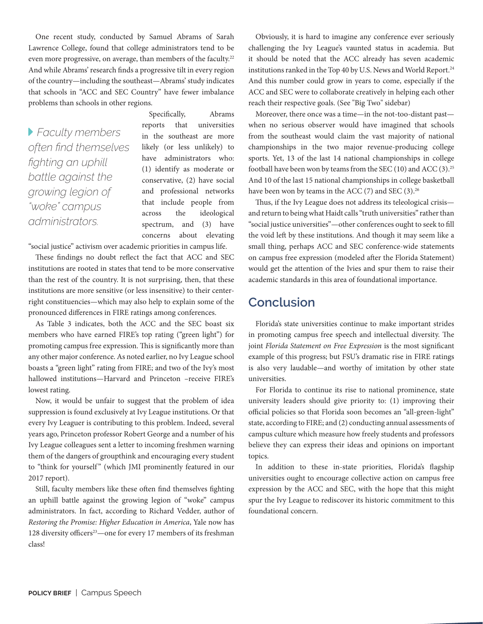One recent study, conducted by Samuel Abrams of Sarah Lawrence College, found that college administrators tend to be even more progressive, on average, than members of the faculty.<sup>22</sup> And while Abrams' research finds a progressive tilt in every region of the country—including the southeast—Abrams' study indicates that schools in "ACC and SEC Country" have fewer imbalance problems than schools in other regions.

 *Faculty members often find themselves fighting an uphill battle against the growing legion of "woke" campus administrators.*

Specifically, Abrams reports that universities in the southeast are more likely (or less unlikely) to have administrators who: (1) identify as moderate or conservative, (2) have social and professional networks that include people from across the ideological spectrum, and (3) have concerns about elevating

"social justice" activism over academic priorities in campus life.

These findings no doubt reflect the fact that ACC and SEC institutions are rooted in states that tend to be more conservative than the rest of the country. It is not surprising, then, that these institutions are more sensitive (or less insensitive) to their centerright constituencies—which may also help to explain some of the pronounced differences in FIRE ratings among conferences.

As Table 3 indicates, both the ACC and the SEC boast six members who have earned FIRE's top rating ("green light") for promoting campus free expression. This is significantly more than any other major conference. As noted earlier, no Ivy League school boasts a "green light" rating from FIRE; and two of the Ivy's most hallowed institutions—Harvard and Princeton –receive FIRE's lowest rating.

Now, it would be unfair to suggest that the problem of idea suppression is found exclusively at Ivy League institutions. Or that every Ivy Leaguer is contributing to this problem. Indeed, several years ago, Princeton professor Robert George and a number of his Ivy League colleagues sent a letter to incoming freshmen warning them of the dangers of groupthink and encouraging every student to "think for yourself" (which JMI prominently featured in our 2017 report).

Still, faculty members like these often find themselves fighting an uphill battle against the growing legion of "woke" campus administrators. In fact, according to Richard Vedder, author of *Restoring the Promise: Higher Education in America*, Yale now has 128 diversity officers<sup>23</sup>—one for every 17 members of its freshman class!

Obviously, it is hard to imagine any conference ever seriously challenging the Ivy League's vaunted status in academia. But it should be noted that the ACC already has seven academic institutions ranked in the Top 40 by U.S. News and World Report.<sup>24</sup> And this number could grow in years to come, especially if the ACC and SEC were to collaborate creatively in helping each other reach their respective goals. (See "Big Two" sidebar)

Moreover, there once was a time—in the not-too-distant past when no serious observer would have imagined that schools from the southeast would claim the vast majority of national championships in the two major revenue-producing college sports. Yet, 13 of the last 14 national championships in college football have been won by teams from the SEC (10) and ACC (3).25 And 10 of the last 15 national championships in college basketball have been won by teams in the ACC  $(7)$  and SEC  $(3).^{26}$ 

Thus, if the Ivy League does not address its teleological crisis and return to being what Haidt calls "truth universities" rather than "social justice universities"—other conferences ought to seek to fill the void left by these institutions. And though it may seem like a small thing, perhaps ACC and SEC conference-wide statements on campus free expression (modeled after the Florida Statement) would get the attention of the Ivies and spur them to raise their academic standards in this area of foundational importance.

### **Conclusion**

Florida's state universities continue to make important strides in promoting campus free speech and intellectual diversity. The joint *Florida Statement on Free Expression* is the most significant example of this progress; but FSU's dramatic rise in FIRE ratings is also very laudable—and worthy of imitation by other state universities.

For Florida to continue its rise to national prominence, state university leaders should give priority to: (1) improving their official policies so that Florida soon becomes an "all-green-light" state, according to FIRE; and (2) conducting annual assessments of campus culture which measure how freely students and professors believe they can express their ideas and opinions on important topics.

In addition to these in-state priorities, Florida's flagship universities ought to encourage collective action on campus free expression by the ACC and SEC, with the hope that this might spur the Ivy League to rediscover its historic commitment to this foundational concern.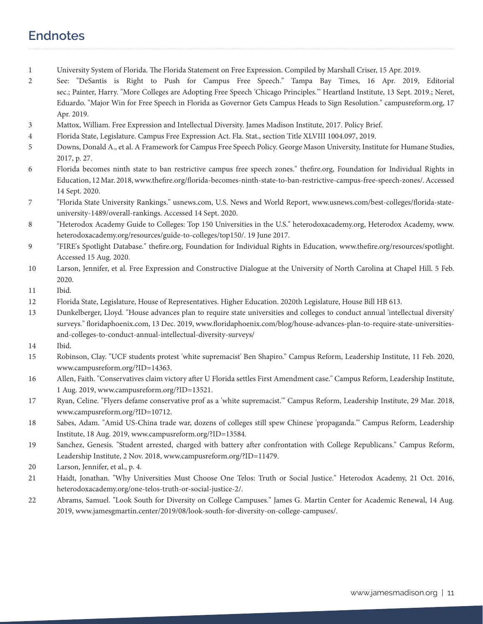# **Endnotes**

- 1 University System of Florida. The Florida Statement on Free Expression. Compiled by Marshall Criser, 15 Apr. 2019.
- 2 See: "DeSantis is Right to Push for Campus Free Speech." Tampa Bay Times, 16 Apr. 2019, Editorial sec.; Painter, Harry. "More Colleges are Adopting Free Speech 'Chicago Principles.'" Heartland Institute, 13 Sept. 2019.; Neret, Eduardo. "Major Win for Free Speech in Florida as Governor Gets Campus Heads to Sign Resolution." campusreform.org, 17 Apr. 2019.
- 3 Mattox, William. Free Expression and Intellectual Diversity. James Madison Institute, 2017. Policy Brief.
- 4 Florida State, Legislature. Campus Free Expression Act. Fla. Stat., section Title XLVIII 1004.097, 2019.
- 5 Downs, Donald A., et al. A Framework for Campus Free Speech Policy. George Mason University, Institute for Humane Studies, 2017, p. 27.
- 6 Florida becomes ninth state to ban restrictive campus free speech zones." thefire.org, Foundation for Individual Rights in Education, 12 Mar. 2018, www.thefire.org/florida-becomes-ninth-state-to-ban-restrictive-campus-free-speech-zones/. Accessed 14 Sept. 2020.
- 7 "Florida State University Rankings." usnews.com, U.S. News and World Report, www.usnews.com/best-colleges/florida-stateuniversity-1489/overall-rankings. Accessed 14 Sept. 2020.
- 8 "Heterodox Academy Guide to Colleges: Top 150 Universities in the U.S." heterodoxacademy.org, Heterodox Academy, www. heterodoxacademy.org/resources/guide-to-colleges/top150/. 19 June 2017.
- 9 "FIRE's Spotlight Database." thefire.org, Foundation for Individual Rights in Education, www.thefire.org/resources/spotlight. Accessed 15 Aug. 2020.
- 10 Larson, Jennifer, et al. Free Expression and Constructive Dialogue at the University of North Carolina at Chapel Hill. 5 Feb. 2020.
- 11 Ibid.
- 12 Florida State, Legislature, House of Representatives. Higher Education. 2020th Legislature, House Bill HB 613.
- 13 Dunkelberger, Lloyd. "House advances plan to require state universities and colleges to conduct annual 'intellectual diversity' surveys." floridaphoenix.com, 13 Dec. 2019, www.floridaphoenix.com/blog/house-advances-plan-to-require-state-universitiesand-colleges-to-conduct-annual-intellectual-diversity-surveys/
- 14 Ibid.
- 15 Robinson, Clay. "UCF students protest 'white supremacist' Ben Shapiro." Campus Reform, Leadership Institute, 11 Feb. 2020, www.campusreform.org/?ID=14363.
- 16 Allen, Faith. "Conservatives claim victory after U Florida settles First Amendment case." Campus Reform, Leadership Institute, 1 Aug. 2019, www.campusreform.org/?ID=13521.
- 17 Ryan, Celine. "Flyers defame conservative prof as a 'white supremacist.'" Campus Reform, Leadership Institute, 29 Mar. 2018, www.campusreform.org/?ID=10712.
- 18 Sabes, Adam. "Amid US-China trade war, dozens of colleges still spew Chinese 'propaganda.'" Campus Reform, Leadership Institute, 18 Aug. 2019, www.campusreform.org/?ID=13584.
- 19 Sanchez, Genesis. "Student arrested, charged with battery after confrontation with College Republicans." Campus Reform, Leadership Institute, 2 Nov. 2018, www.campusreform.org/?ID=11479.
- 20 Larson, Jennifer, et al., p. 4.
- 21 Haidt, Jonathan. "Why Universities Must Choose One Telos: Truth or Social Justice." Heterodox Academy, 21 Oct. 2016, heterodoxacademy.org/one-telos-truth-or-social-justice-2/.
- 22 Abrams, Samuel. "Look South for Diversity on College Campuses." James G. Martin Center for Academic Renewal, 14 Aug. 2019, www.jamesgmartin.center/2019/08/look-south-for-diversity-on-college-campuses/.